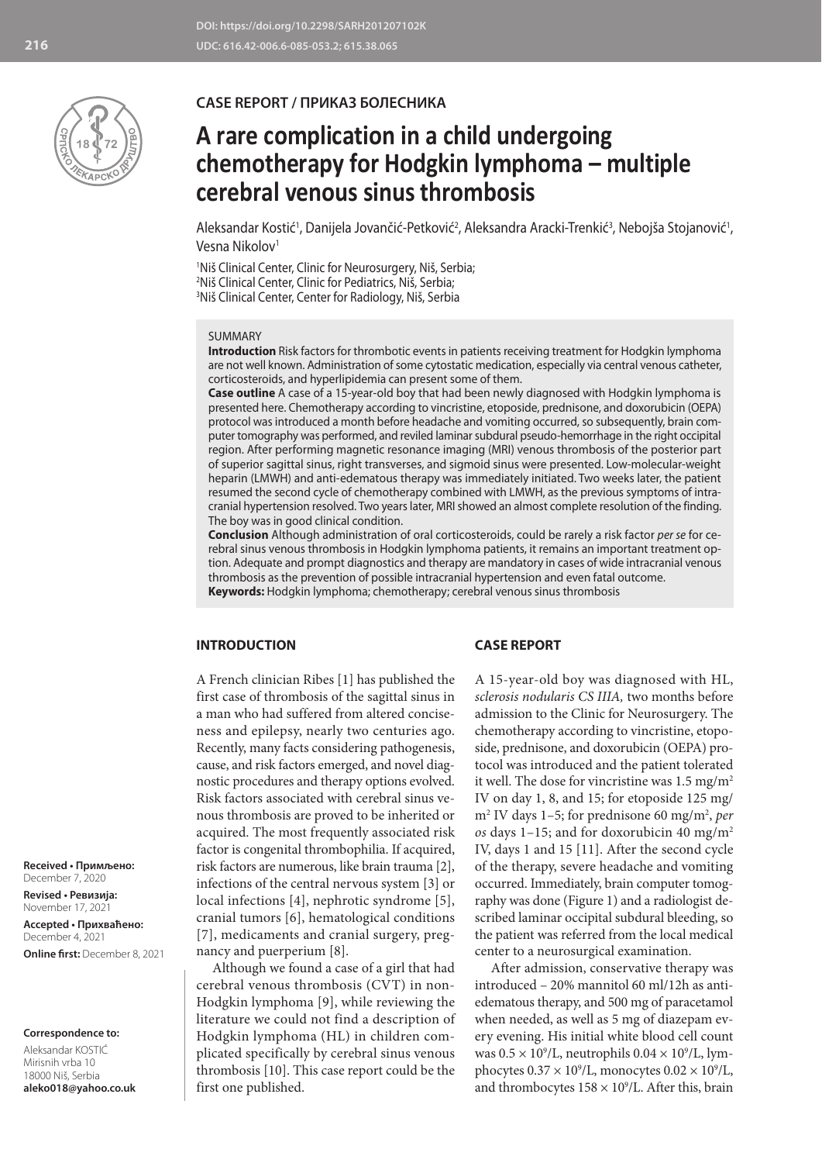

# **CASE REPORT / ПРИКАЗ БОЛЕСНИКА**

# **A rare complication in a child undergoing chemotherapy for Hodgkin lymphoma – multiple cerebral venous sinus thrombosis**

Aleksandar Kostić<sup>1</sup>, Danijela Jovančić-Petković<sup>2</sup>, Aleksandra Aracki-Trenkić<sup>3</sup>, Nebojša Stojanović<sup>1</sup>, Vesna Nikolov<sup>1</sup>

1 Niš Clinical Center, Clinic for Neurosurgery, Niš, Serbia; 2 Niš Clinical Center, Clinic for Pediatrics, Niš, Serbia; 3 Niš Clinical Center, Center for Radiology, Niš, Serbia

#### SUMMARY

**Introduction** Risk factors for thrombotic events in patients receiving treatment for Hodgkin lymphoma are not well known. Administration of some cytostatic medication, especially via central venous catheter, corticosteroids, and hyperlipidemia can present some of them.

**Case outline** A case of a 15-year-old boy that had been newly diagnosed with Hodgkin lymphoma is presented here. Chemotherapy according to vincristine, etoposide, prednisone, and doxorubicin (OEPA) protocol was introduced a month before headache and vomiting occurred, so subsequently, brain computer tomography was performed, and reviled laminar subdural pseudo-hemorrhage in the right occipital region. After performing magnetic resonance imaging (MRI) venous thrombosis of the posterior part of superior sagittal sinus, right transverses, and sigmoid sinus were presented. Low-molecular-weight heparin (LMWH) and anti-edematous therapy was immediately initiated. Two weeks later, the patient resumed the second cycle of chemotherapy combined with LMWH, as the previous symptoms of intracranial hypertension resolved. Two years later, MRI showed an almost complete resolution of the finding. The boy was in good clinical condition.

**Conclusion** Although administration of oral corticosteroids, could be rarely a risk factor *per se* for cerebral sinus venous thrombosis in Hodgkin lymphoma patients, it remains an important treatment option. Adequate and prompt diagnostics and therapy are mandatory in cases of wide intracranial venous thrombosis as the prevention of possible intracranial hypertension and even fatal outcome. **Keywords:** Hodgkin lymphoma; chemotherapy; cerebral venous sinus thrombosis

# **INTRODUCTION**

A French clinician Ribes [1] has published the first case of thrombosis of the sagittal sinus in a man who had suffered from altered conciseness and epilepsy, nearly two centuries ago. Recently, many facts considering pathogenesis, cause, and risk factors emerged, and novel diagnostic procedures and therapy options evolved. Risk factors associated with cerebral sinus venous thrombosis are proved to be inherited or acquired. The most frequently associated risk factor is congenital thrombophilia. If acquired, risk factors are numerous, like brain trauma [2], infections of the central nervous system [3] or local infections [4], nephrotic syndrome [5], cranial tumors [6], hematological conditions [7], medicaments and cranial surgery, pregnancy and puerperium [8].

Although we found a case of a girl that had cerebral venous thrombosis (CVT) in non-Hodgkin lymphoma [9], while reviewing the literature we could not find a description of Hodgkin lymphoma (HL) in children complicated specifically by cerebral sinus venous thrombosis [10]. This case report could be the first one published.

### **CASE REPORT**

A 15-year-old boy was diagnosed with HL, *sclerosis nodularis CS IIIA,* two months before admission to the Clinic for Neurosurgery. The chemotherapy according to vincristine, etoposide, prednisone, and doxorubicin (OEPA) protocol was introduced and the patient tolerated it well. The dose for vincristine was  $1.5 \text{ mg/m}^2$ IV on day 1, 8, and 15; for etoposide 125 mg/ m2 IV days 1–5; for prednisone 60 mg/m2 , *per os* days 1–15; and for doxorubicin 40 mg/m2 IV, days 1 and 15 [11]. After the second cycle of the therapy, severe headache and vomiting occurred. Immediately, brain computer tomography was done (Figure 1) and a radiologist described laminar occipital subdural bleeding, so the patient was referred from the local medical center to a neurosurgical examination.

After admission, conservative therapy was introduced – 20% mannitol 60 ml/12h as antiedematous therapy, and 500 mg of paracetamol when needed, as well as 5 mg of diazepam every evening. His initial white blood cell count was  $0.5 \times 10^9$ /L, neutrophils  $0.04 \times 10^9$ /L, lymphocytes  $0.37 \times 10^9$ /L, monocytes  $0.02 \times 10^9$ /L, and thrombocytes  $158 \times 10^9$ /L. After this, brain

**Received • Примљено:**  December 7, 2020

**Revised • Ревизија:**  November 17, 2021 **Accepted • Прихваћено:** December 4, 2021 **Online first:** December 8, 2021

#### **Correspondence to:**

Aleksandar KOSTIĆ Mirisnih vrba 10 18000 Niš, Serbia **aleko018@yahoo.co.uk**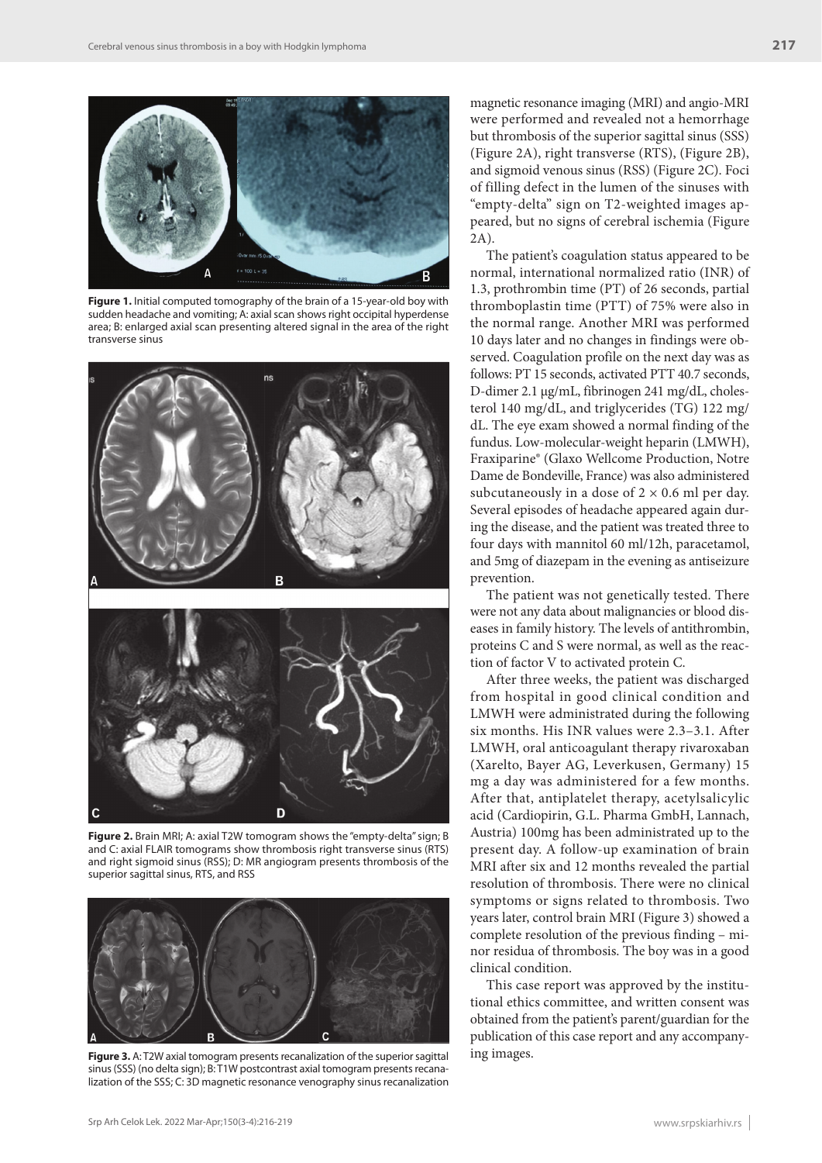

**Figure 1.** Initial computed tomography of the brain of a 15-year-old boy with sudden headache and vomiting; A: axial scan shows right occipital hyperdense area; B: enlarged axial scan presenting altered signal in the area of the right transverse sinus



**Figure 2.** Brain MRI; A: axial T2W tomogram shows the "empty-delta" sign; B and C: axial FLAIR tomograms show thrombosis right transverse sinus (RTS) and right sigmoid sinus (RSS); D: MR angiogram presents thrombosis of the superior sagittal sinus, RTS, and RSS



**Figure 3.** A: T2W axial tomogram presents recanalization of the superior sagittal sinus (SSS) (no delta sign); B: T1W postcontrast axial tomogram presents recanalization of the SSS; C: 3D magnetic resonance venography sinus recanalization

magnetic resonance imaging (MRI) and angio-MRI were performed and revealed not a hemorrhage but thrombosis of the superior sagittal sinus (SSS) (Figure 2A), right transverse (RTS), (Figure 2B), and sigmoid venous sinus (RSS) (Figure 2C). Foci of filling defect in the lumen of the sinuses with "empty-delta" sign on T2-weighted images appeared, but no signs of cerebral ischemia (Figure 2A).

The patient's coagulation status appeared to be normal, international normalized ratio (INR) of 1.3, prothrombin time (PT) of 26 seconds, partial thromboplastin time (PTT) of 75% were also in the normal range. Another MRI was performed 10 days later and no changes in findings were observed. Coagulation profile on the next day was as follows: PT 15 seconds, activated PTT 40.7 seconds, D-dimer 2.1 μg/mL, fibrinogen 241 mg/dL, cholesterol 140 mg/dL, and triglycerides (TG) 122 mg/ dL. The eye exam showed a normal finding of the fundus. Low-molecular-weight heparin (LMWH), Fraxiparine® (Glaxo Wellcome Production, Notre Dame de Bondeville, France) was also administered subcutaneously in a dose of  $2 \times 0.6$  ml per day. Several episodes of headache appeared again during the disease, and the patient was treated three to four days with mannitol 60 ml/12h, paracetamol, and 5mg of diazepam in the evening as antiseizure prevention.

The patient was not genetically tested. There were not any data about malignancies or blood diseases in family history. The levels of antithrombin, proteins C and S were normal, as well as the reaction of factor V to activated protein C.

After three weeks, the patient was discharged from hospital in good clinical condition and LMWH were administrated during the following six months. His INR values were 2.3–3.1. After LMWH, oral anticoagulant therapy rivaroxaban (Xarelto, Bayer AG, Leverkusen, Germany) 15 mg a day was administered for a few months. After that, antiplatelet therapy, acetylsalicylic acid (Cardiopirin, G.L. Pharma GmbH, Lannach, Austria) 100mg has been administrated up to the present day. A follow-up examination of brain MRI after six and 12 months revealed the partial resolution of thrombosis. There were no clinical symptoms or signs related to thrombosis. Two years later, control brain MRI (Figure 3) showed a complete resolution of the previous finding – minor residua of thrombosis. The boy was in a good clinical condition.

This case report was approved by the institutional ethics committee, and written consent was obtained from the patient's parent/guardian for the publication of this case report and any accompanying images.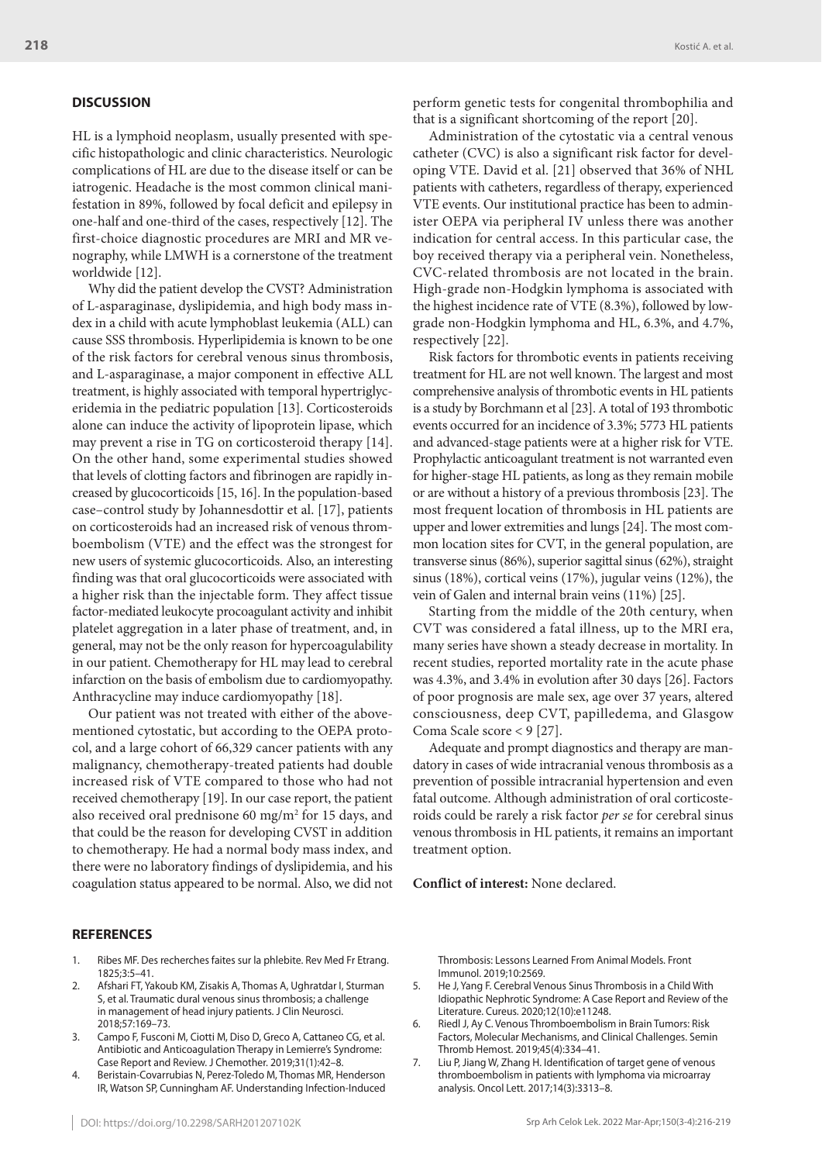# **DISCUSSION**

HL is a lymphoid neoplasm, usually presented with specific histopathologic and clinic characteristics. Neurologic complications of HL are due to the disease itself or can be iatrogenic. Headache is the most common clinical manifestation in 89%, followed by focal deficit and epilepsy in one-half and one-third of the cases, respectively [12]. The first-choice diagnostic procedures are MRI and MR venography, while LMWH is a cornerstone of the treatment worldwide [12].

Why did the patient develop the CVST? Administration of L-asparaginase, dyslipidemia, and high body mass index in a child with acute lymphoblast leukemia (ALL) can cause SSS thrombosis. Hyperlipidemia is known to be one of the risk factors for cerebral venous sinus thrombosis, and L-asparaginase, a major component in effective ALL treatment, is highly associated with temporal hypertriglyceridemia in the pediatric population [13]. Corticosteroids alone can induce the activity of lipoprotein lipase, which may prevent a rise in TG on corticosteroid therapy [14]. On the other hand, some experimental studies showed that levels of clotting factors and fibrinogen are rapidly increased by glucocorticoids [15, 16]. In the population-based case–control study by Johannesdottir et al. [17], patients on corticosteroids had an increased risk of venous thromboembolism (VTE) and the effect was the strongest for new users of systemic glucocorticoids. Also, an interesting finding was that oral glucocorticoids were associated with a higher risk than the injectable form. They affect tissue factor-mediated leukocyte procoagulant activity and inhibit platelet aggregation in a later phase of treatment, and, in general, may not be the only reason for hypercoagulability in our patient. Chemotherapy for HL may lead to cerebral infarction on the basis of embolism due to cardiomyopathy. Anthracycline may induce cardiomyopathy [18].

Our patient was not treated with either of the abovementioned cytostatic, but according to the OEPA protocol, and a large cohort of 66,329 cancer patients with any malignancy, chemotherapy-treated patients had double increased risk of VTE compared to those who had not received chemotherapy [19]. In our case report, the patient also received oral prednisone 60 mg/m2 for 15 days, and that could be the reason for developing CVST in addition to chemotherapy. He had a normal body mass index, and there were no laboratory findings of dyslipidemia, and his coagulation status appeared to be normal. Also, we did not

perform genetic tests for congenital thrombophilia and that is a significant shortcoming of the report [20].

Administration of the cytostatic via a central venous catheter (CVC) is also a significant risk factor for developing VTE. David et al. [21] observed that 36% of NHL patients with catheters, regardless of therapy, experienced VTE events. Our institutional practice has been to administer OEPA via peripheral IV unless there was another indication for central access. In this particular case, the boy received therapy via a peripheral vein. Nonetheless, CVC-related thrombosis are not located in the brain. High-grade non-Hodgkin lymphoma is associated with the highest incidence rate of VTE (8.3%), followed by lowgrade non-Hodgkin lymphoma and HL, 6.3%, and 4.7%, respectively [22].

Risk factors for thrombotic events in patients receiving treatment for HL are not well known. The largest and most comprehensive analysis of thrombotic events in HL patients is a study by Borchmann et al [23]. A total of 193 thrombotic events occurred for an incidence of 3.3%; 5773 HL patients and advanced-stage patients were at a higher risk for VTE. Prophylactic anticoagulant treatment is not warranted even for higher-stage HL patients, as long as they remain mobile or are without a history of a previous thrombosis [23]. The most frequent location of thrombosis in HL patients are upper and lower extremities and lungs [24]. The most common location sites for CVT, in the general population, are transverse sinus (86%), superior sagittal sinus (62%), straight sinus (18%), cortical veins (17%), jugular veins (12%), the vein of Galen and internal brain veins (11%) [25].

Starting from the middle of the 20th century, when CVT was considered a fatal illness, up to the MRI era, many series have shown a steady decrease in mortality. In recent studies, reported mortality rate in the acute phase was 4.3%, and 3.4% in evolution after 30 days [26]. Factors of poor prognosis are male sex, age over 37 years, altered consciousness, deep CVT, papilledema, and Glasgow Coma Scale score < 9 [27].

Adequate and prompt diagnostics and therapy are mandatory in cases of wide intracranial venous thrombosis as a prevention of possible intracranial hypertension and even fatal outcome. Although administration of oral corticosteroids could be rarely a risk factor *per se* for cerebral sinus venous thrombosis in HL patients, it remains an important treatment option.

**Conflict of interest:** None declared.

## **REFERENCES**

- 1. Ribes MF. Des recherches faites sur la phlebite. Rev Med Fr Etrang. 1825;3:5–41.
- 2. Afshari FT, Yakoub KM, Zisakis A, Thomas A, Ughratdar I, Sturman S, et al. Traumatic dural venous sinus thrombosis; a challenge in management of head injury patients. J Clin Neurosci. 2018;57:169–73.
- 3. Campo F, Fusconi M, Ciotti M, Diso D, Greco A, Cattaneo CG, et al. Antibiotic and Anticoagulation Therapy in Lemierre's Syndrome: Case Report and Review. J Chemother. 2019;31(1):42–8.
- 4. Beristain-Covarrubias N, Perez-Toledo M, Thomas MR, Henderson IR, Watson SP, Cunningham AF. Understanding Infection-Induced

Thrombosis: Lessons Learned From Animal Models. Front Immunol. 2019;10:2569.

- 5. He J, Yang F. Cerebral Venous Sinus Thrombosis in a Child With Idiopathic Nephrotic Syndrome: A Case Report and Review of the Literature. Cureus. 2020;12(10):e11248.
- 6. Riedl J, Ay C. Venous Thromboembolism in Brain Tumors: Risk Factors, Molecular Mechanisms, and Clinical Challenges. Semin Thromb Hemost. 2019;45(4):334–41.
- 7. Liu P, Jiang W, Zhang H. Identification of target gene of venous thromboembolism in patients with lymphoma via microarray analysis. Oncol Lett. 2017;14(3):3313–8.